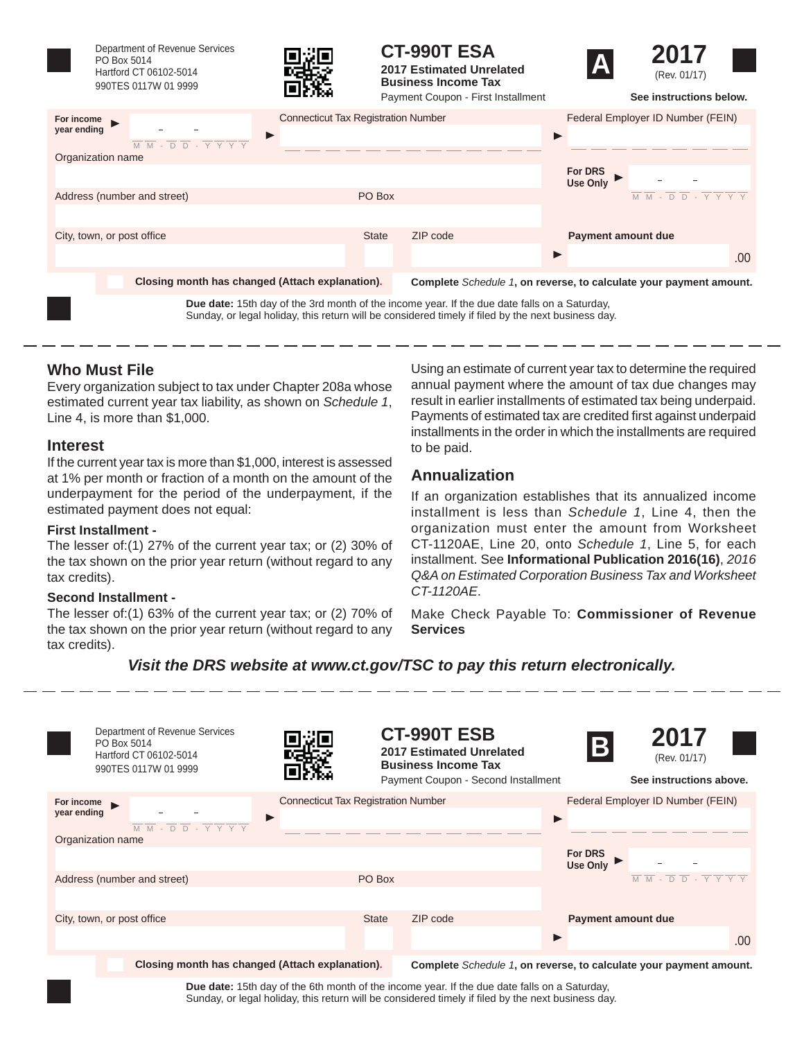

Department of Revenue Services PO Box 5014 Hartford CT 06102-5014 990TES 0117W 01 9999



# **CT-990T ESA**

**2017 Estimated Unrelated Business Income Tax**





|                             | енски                                           | Payment Coupon - First Installment         | See instructions below.                                                                                                     |
|-----------------------------|-------------------------------------------------|--------------------------------------------|-----------------------------------------------------------------------------------------------------------------------------|
| For income<br>year ending   | ▶                                               | <b>Connecticut Tax Registration Number</b> | Federal Employer ID Number (FEIN)                                                                                           |
| Organization name           | M M - D D - Y Y Y Y                             |                                            | For DRS<br>Use Only                                                                                                         |
| Address (number and street) |                                                 | PO Box                                     | $\overline{M}$ $\overline{M}$ - $\overline{D}$ $\overline{D}$ - $\overline{Y}$ $\overline{Y}$ $\overline{Y}$ $\overline{Y}$ |
| City, town, or post office  |                                                 | ZIP code<br><b>State</b>                   | <b>Payment amount due</b>                                                                                                   |
|                             |                                                 |                                            | .00.                                                                                                                        |
|                             | Closing month has changed (Attach explanation). |                                            | Complete Schedule 1, on reverse, to calculate your payment amount.                                                          |

**Due date:** 15th day of the 3rd month of the income year. If the due date falls on a Saturday, Sunday, or legal holiday, this return will be considered timely if filed by the next business day.

## **Who Must File**

Every organization subject to tax under Chapter 208a whose estimated current year tax liability, as shown on *Schedule 1*, Line 4, is more than \$1,000.

#### **Interest**

If the current year tax is more than \$1,000, interest is assessed at 1% per month or fraction of a month on the amount of the underpayment for the period of the underpayment, if the estimated payment does not equal:

#### **First Installment -**

The lesser of:(1) 27% of the current year tax; or (2) 30% of the tax shown on the prior year return (without regard to any tax credits).

#### **Second Installment -**

The lesser of:(1) 63% of the current year tax; or (2) 70% of the tax shown on the prior year return (without regard to any tax credits).

Using an estimate of current year tax to determine the required annual payment where the amount of tax due changes may result in earlier installments of estimated tax being underpaid. Payments of estimated tax are credited first against underpaid installments in the order in which the installments are required to be paid.

## **Annualization**

If an organization establishes that its annualized income installment is less than *Schedule 1*, Line 4, then the organization must enter the amount from Worksheet CT-1120AE, Line 20, onto *Schedule 1*, Line 5, for each installment. See **Informational Publication 2016(16)**, *2016 Q&A on Estimated Corporation Business Tax and Worksheet CT-1120AE*.

Make Check Payable To: **Commissioner of Revenue Services**

## *Visit the DRS website at www.ct.gov/TSC to pay this return electronically.*

| Department of Revenue Services<br>PO Box 5014<br>Hartford CT 06102-5014<br>990TES 0117W 01 9999                                            |                                            |              | <b>CT-990T ESB</b><br>2017 Estimated Unrelated<br><b>Business Income Tax</b><br>Payment Coupon - Second Installment | $\vert$ B                 | 2017<br>(Rev. 01/17)<br>See instructions above.                                                                             |     |
|--------------------------------------------------------------------------------------------------------------------------------------------|--------------------------------------------|--------------|---------------------------------------------------------------------------------------------------------------------|---------------------------|-----------------------------------------------------------------------------------------------------------------------------|-----|
| For income                                                                                                                                 | <b>Connecticut Tax Registration Number</b> |              |                                                                                                                     |                           | Federal Employer ID Number (FEIN)                                                                                           |     |
| year ending<br>$\overline{M}$ $\overline{M}$ - $\overline{D}$ $\overline{D}$ - $\overline{Y}$ $\overline{Y}$ $\overline{Y}$ $\overline{Y}$ |                                            |              |                                                                                                                     |                           |                                                                                                                             |     |
| Organization name                                                                                                                          |                                            |              |                                                                                                                     |                           |                                                                                                                             |     |
|                                                                                                                                            |                                            |              |                                                                                                                     | For DRS<br>Use Only       |                                                                                                                             |     |
| Address (number and street)                                                                                                                |                                            | PO Box       |                                                                                                                     |                           | $\overline{M}$ $\overline{M}$ - $\overline{D}$ $\overline{D}$ - $\overline{Y}$ $\overline{Y}$ $\overline{Y}$ $\overline{Y}$ |     |
|                                                                                                                                            |                                            |              |                                                                                                                     |                           |                                                                                                                             |     |
| City, town, or post office                                                                                                                 |                                            | <b>State</b> | ZIP code                                                                                                            | <b>Payment amount due</b> |                                                                                                                             |     |
|                                                                                                                                            |                                            |              |                                                                                                                     |                           |                                                                                                                             | .00 |
| Closing month has changed (Attach explanation).                                                                                            |                                            |              | Complete Schedule 1, on reverse, to calculate your payment amount.                                                  |                           |                                                                                                                             |     |

**Due date:** 15th day of the 6th month of the income year. If the due date falls on a Saturday, Sunday, or legal holiday, this return will be considered timely if filed by the next business day.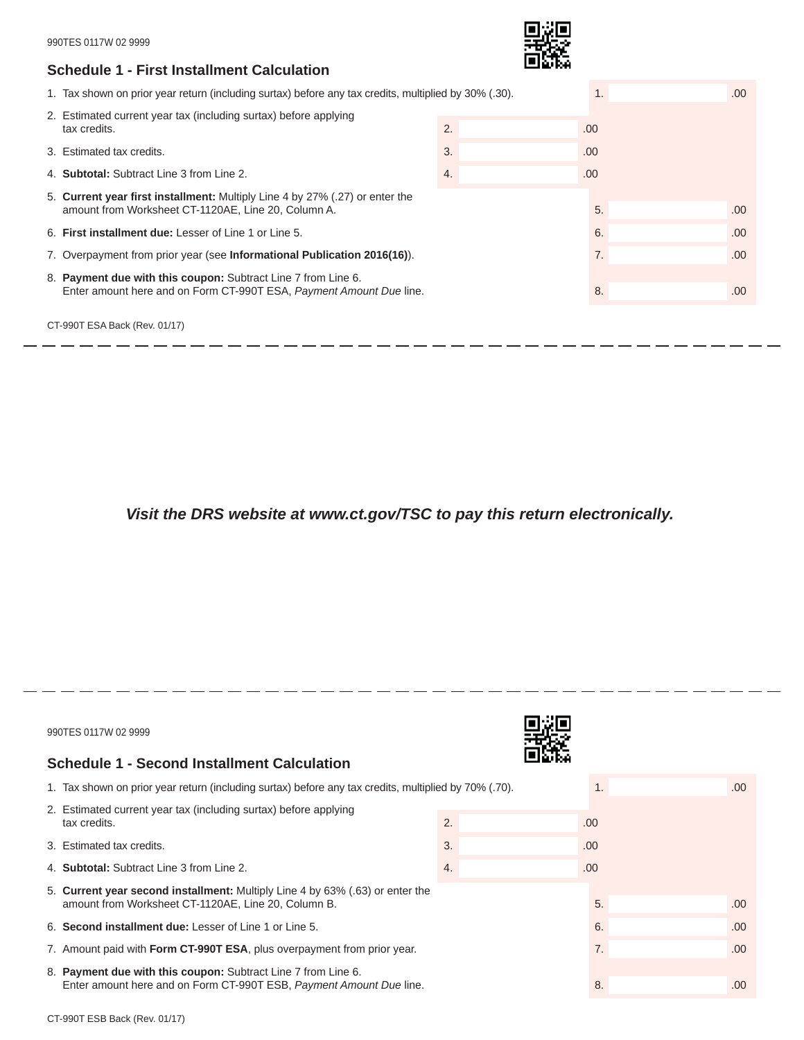### **Schedule 1 - First Installment Calculation**



-------------

. .

\_ \_ \_ \_ \_ \_

- - - - - - - - - - - - - - - -

| 1. Tax shown on prior year return (including surtax) before any tax credits, multiplied by 30% (.30).                                |      | .00. |
|--------------------------------------------------------------------------------------------------------------------------------------|------|------|
| 2. Estimated current year tax (including surtax) before applying<br>tax credits.                                                     | .00. |      |
| 3. Estimated tax credits.                                                                                                            | .00. |      |
| 4. <b>Subtotal:</b> Subtract Line 3 from Line 2.                                                                                     | .00. |      |
| 5. Current year first installment: Multiply Line 4 by 27% (.27) or enter the<br>amount from Worksheet CT-1120AE, Line 20, Column A.  | 5.   | .00. |
| 6. First installment due: Lesser of Line 1 or Line 5.                                                                                | 6.   | .00. |
| 7. Overpayment from prior year (see <b>Informational Publication 2016(16)</b> ).                                                     | 7.   | .00  |
| 8. Payment due with this coupon: Subtract Line 7 from Line 6.<br>Enter amount here and on Form CT-990T ESA, Payment Amount Due line. | 8.   | .00  |

-------------

-----------------------------

CT-990T ESA Back (Rev. 01/17)

 $-$ 

- -

*Visit the DRS website at www.ct.gov/TSC to pay this return electronically.*

| 990TES 0117W 02 9999                                                                                                                 |    |      |      |
|--------------------------------------------------------------------------------------------------------------------------------------|----|------|------|
| Schedule 1 - Second Installment Calculation                                                                                          |    |      |      |
| 1. Tax shown on prior year return (including surtax) before any tax credits, multiplied by 70% (.70).                                |    | 1.   | .00. |
| 2. Estimated current year tax (including surtax) before applying<br>tax credits.                                                     | 2. | .00. |      |
| 3. Estimated tax credits.                                                                                                            | 3. | .00. |      |
| 4. Subtotal: Subtract Line 3 from Line 2.                                                                                            | 4. | .00. |      |
| 5. Current year second installment: Multiply Line 4 by 63% (.63) or enter the<br>amount from Worksheet CT-1120AE, Line 20, Column B. |    | 5.   | .00. |
| 6. Second installment due: Lesser of Line 1 or Line 5.                                                                               |    | 6.   | .00. |
| 7. Amount paid with <b>Form CT-990T ESA</b> , plus overpayment from prior year.                                                      |    | 7.   | .00. |
| 8. Payment due with this coupon: Subtract Line 7 from Line 6.<br>Enter amount here and on Form CT-990T ESB, Payment Amount Due line. |    | 8.   | .00. |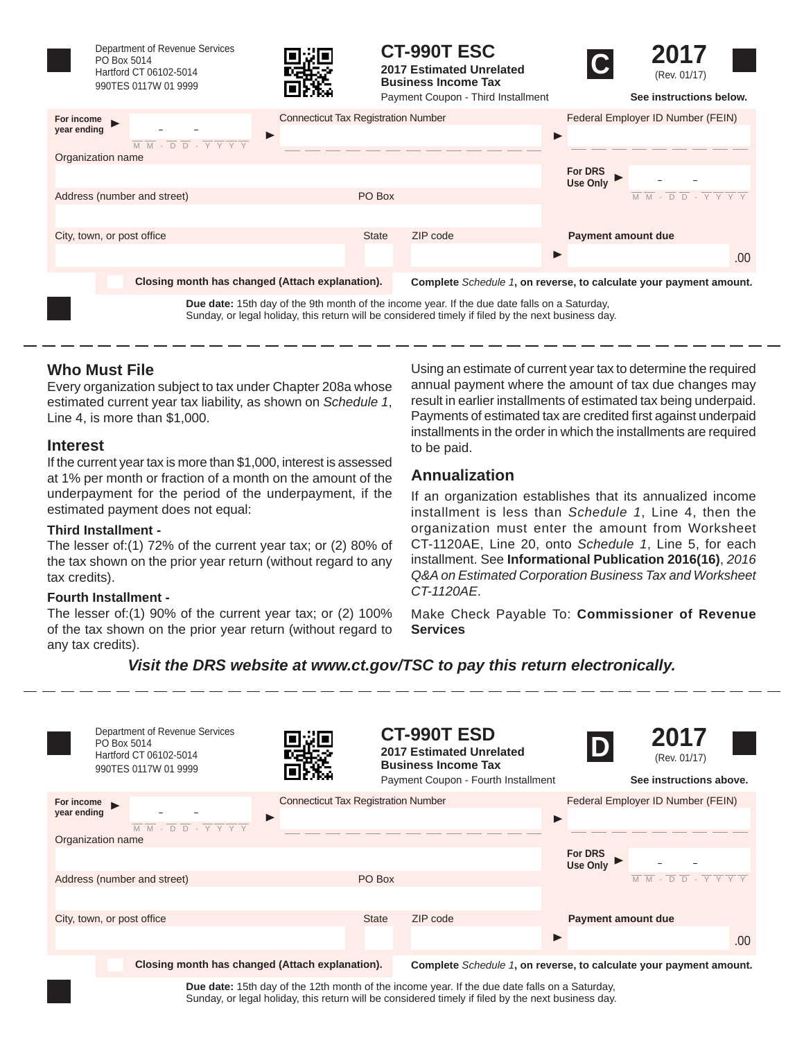

Department of Revenue Services PO Box 5014 Hartford CT 06102-5014 990TES 0117W 01 9999



**CT-990T ESC**







|                                                                                                                                                                                 | енски                                           |              | Payment Coupon - Third Installment | See instructions below.                                                                                                                            |
|---------------------------------------------------------------------------------------------------------------------------------------------------------------------------------|-------------------------------------------------|--------------|------------------------------------|----------------------------------------------------------------------------------------------------------------------------------------------------|
| For income<br>year ending                                                                                                                                                       | <b>Connecticut Tax Registration Number</b><br>▶ |              |                                    | Federal Employer ID Number (FEIN)                                                                                                                  |
| $\overline{M}$ $\overline{M}$ - $\overline{D}$ $\overline{D}$ - $\overline{Y}$ $\overline{Y}$ $\overline{Y}$ $\overline{Y}$<br>Organization name<br>Address (number and street) |                                                 | PO Box       |                                    | For DRS<br>Use Only<br>$\overline{M}$ $\overline{M}$ - $\overline{D}$ $\overline{D}$ - $\overline{Y}$ $\overline{Y}$ $\overline{Y}$ $\overline{Y}$ |
| City, town, or post office                                                                                                                                                      |                                                 | <b>State</b> | ZIP code                           | <b>Payment amount due</b><br>.00.                                                                                                                  |
| Closing month has changed (Attach explanation).                                                                                                                                 |                                                 |              |                                    | Complete Schedule 1, on reverse, to calculate your payment amount.                                                                                 |

**Due date:** 15th day of the 9th month of the income year. If the due date falls on a Saturday, Sunday, or legal holiday, this return will be considered timely if filed by the next business day.

## **Who Must File**

Every organization subject to tax under Chapter 208a whose estimated current year tax liability, as shown on *Schedule 1*, Line 4, is more than \$1,000.

### **Interest**

If the current year tax is more than \$1,000, interest is assessed at 1% per month or fraction of a month on the amount of the underpayment for the period of the underpayment, if the estimated payment does not equal:

#### **Third Installment -**

The lesser of:(1) 72% of the current year tax; or (2) 80% of the tax shown on the prior year return (without regard to any tax credits).

#### **Fourth Installment -**

The lesser of:(1) 90% of the current year tax; or (2) 100% of the tax shown on the prior year return (without regard to any tax credits).

Using an estimate of current year tax to determine the required annual payment where the amount of tax due changes may result in earlier installments of estimated tax being underpaid. Payments of estimated tax are credited first against underpaid installments in the order in which the installments are required to be paid.

## **Annualization**

If an organization establishes that its annualized income installment is less than *Schedule 1*, Line 4, then the organization must enter the amount from Worksheet CT-1120AE, Line 20, onto *Schedule 1*, Line 5, for each installment. See **Informational Publication 2016(16)**, *2016 Q&A on Estimated Corporation Business Tax and Worksheet CT-1120AE*.

Make Check Payable To: **Commissioner of Revenue Services**

## *Visit the DRS website at www.ct.gov/TSC to pay this return electronically.*

| Department of Revenue Services<br>PO Box 5014<br>Hartford CT 06102-5014<br>990TES 0117W 01 9999                                                                                |                                                 |              | <b>CT-990T ESD</b><br>2017 Estimated Unrelated<br><b>Business Income Tax</b><br>Payment Coupon - Fourth Installment | D                          | 2017<br>(Rev. 01/17)<br>See instructions above.                                                                             |
|--------------------------------------------------------------------------------------------------------------------------------------------------------------------------------|-------------------------------------------------|--------------|---------------------------------------------------------------------------------------------------------------------|----------------------------|-----------------------------------------------------------------------------------------------------------------------------|
| For income $\blacktriangleright$<br>year ending<br>$\overline{M}$ $\overline{M}$ - $\overline{D}$ $\overline{D}$ - $\overline{Y}$ $\overline{Y}$ $\overline{Y}$ $\overline{Y}$ | <b>Connecticut Tax Registration Number</b><br>▶ |              |                                                                                                                     |                            | Federal Employer ID Number (FEIN)                                                                                           |
| Organization name                                                                                                                                                              |                                                 |              |                                                                                                                     | For DRS<br><b>Use Only</b> |                                                                                                                             |
| Address (number and street)                                                                                                                                                    |                                                 | PO Box       |                                                                                                                     |                            | $\overline{M}$ $\overline{M}$ - $\overline{D}$ $\overline{D}$ - $\overline{Y}$ $\overline{Y}$ $\overline{Y}$ $\overline{Y}$ |
| City, town, or post office                                                                                                                                                     |                                                 | <b>State</b> | ZIP code                                                                                                            | <b>Payment amount due</b>  | .00                                                                                                                         |
| Closing month has changed (Attach explanation).                                                                                                                                |                                                 |              | Complete Schedule 1, on reverse, to calculate your payment amount.                                                  |                            |                                                                                                                             |

**Due date:** 15th day of the 12th month of the income year. If the due date falls on a Saturday, Sunday, or legal holiday, this return will be considered timely if filed by the next business day.